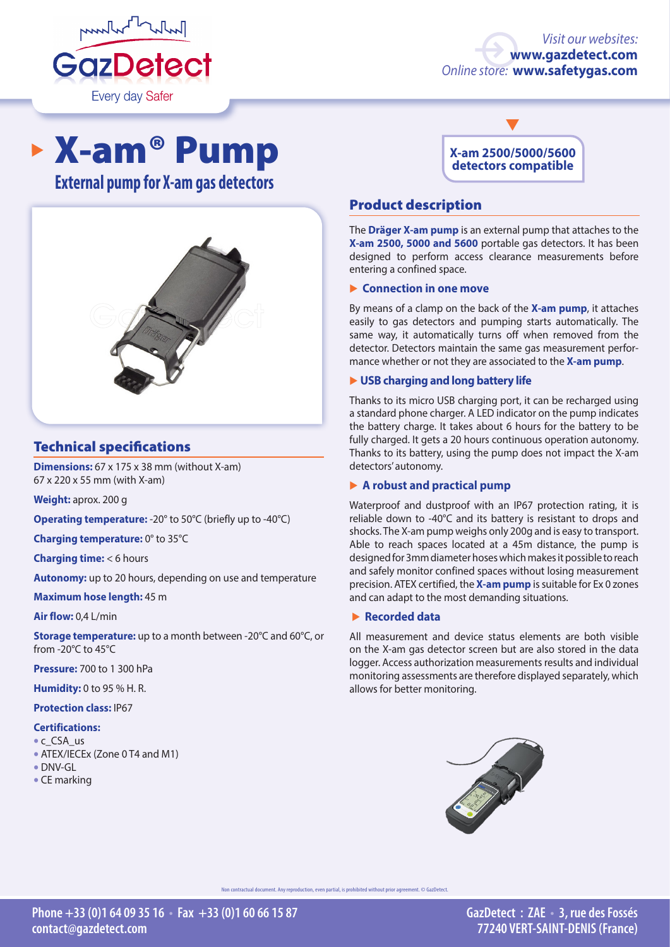

### *Visit our websites:* **[www.gazdetect.com](http://en.gazdetect.com
)** *Online store:* **[www.safetygas.com](http://en.safetygas.com)**

# X-am® Pump

**External pump for X-am gas detectors**



# Technical specifications

**Dimensions:** 67 x 175 x 38 mm (without X-am) 67 x 220 x 55 mm (with X-am)

**Weight:** aprox. 200 g

**Operating temperature:** -20° to 50°C (briefly up to -40°C)

**Charging temperature:** 0° to 35°C

**Charging time:** < 6 hours

**Autonomy:** up to 20 hours, depending on use and temperature

**Maximum hose length:** 45 m

**Air flow:** 0,4 L/min

**Storage temperature:** up to a month between -20°C and 60°C, or from -20°C to 45°C

**Pressure:** 700 to 1 300 hPa

**Humidity:** 0 to 95 % H. R.

**Protection class:** IP67

#### **Certifications:**

- c CSA us
- ATEX/IECEx (Zone 0 T4 and M1)
- DNV-GL
- CE marking



# Product description

The **Dräger X-am pump** is an external pump that attaches to the **X-am 2500, 5000 and 5600** portable gas detectors. It has been designed to perform access clearance measurements before entering a confined space.

#### � **Connection in one move**

By means of a clamp on the back of the **X-am pump**, it attaches easily to gas detectors and pumping starts automatically. The same way, it automatically turns off when removed from the detector. Detectors maintain the same gas measurement performance whether or not they are associated to the **X-am pump**.

#### � **USB charging and long battery life**

Thanks to its micro USB charging port, it can be recharged using a standard phone charger. A LED indicator on the pump indicates the battery charge. It takes about 6 hours for the battery to be fully charged. It gets a 20 hours continuous operation autonomy. Thanks to its battery, using the pump does not impact the X-am detectors' autonomy.

#### � **A robust and practical pump**

Waterproof and dustproof with an IP67 protection rating, it is reliable down to -40°C and its battery is resistant to drops and shocks. The X-am pump weighs only 200g and is easy to transport. Able to reach spaces located at a 45m distance, the pump is designed for 3mm diameter hoses which makes it possible to reach and safely monitor confined spaces without losing measurement precision. ATEX certified, the **X-am pump** is suitable for Ex 0 zones and can adapt to the most demanding situations.

#### � **Recorded data**

All measurement and device status elements are both visible on the X-am gas detector screen but are also stored in the data logger. Access authorization measurements results and individual monitoring assessments are therefore displayed separately, which allows for better monitoring.



ntractual document. Any reproduction, even partial, is prohibited without prior agreement. © GazDetect